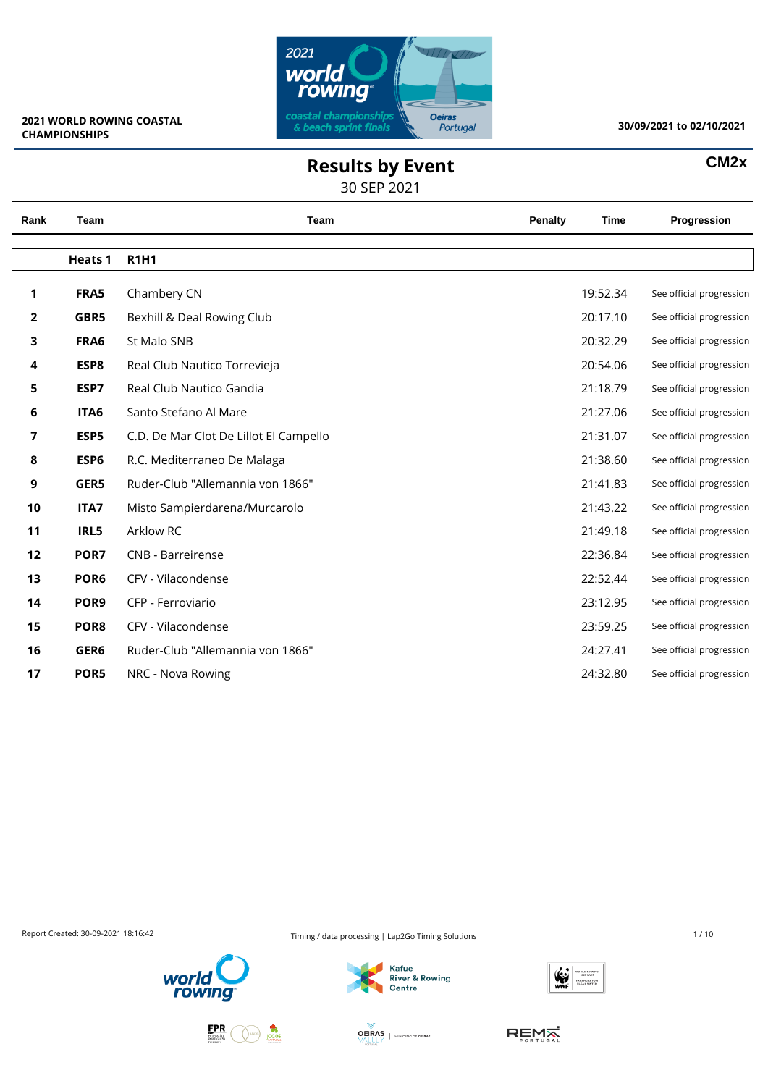

**CM2x**

## **Results by Event**

30 SEP 2021

| Rank           | Team             | Team                                   | <b>Penalty</b> | <b>Time</b> | Progression              |
|----------------|------------------|----------------------------------------|----------------|-------------|--------------------------|
|                | <b>Heats 1</b>   | <b>R1H1</b>                            |                |             |                          |
| 1              | FRA5             | Chambery CN                            |                | 19:52.34    | See official progression |
| $\overline{2}$ | GBR5             | Bexhill & Deal Rowing Club             |                | 20:17.10    | See official progression |
| 3              | FRA6             | St Malo SNB                            |                | 20:32.29    | See official progression |
| 4              | ESP8             | Real Club Nautico Torrevieja           |                | 20:54.06    | See official progression |
| 5              | ESP7             | Real Club Nautico Gandia               |                | 21:18.79    | See official progression |
| 6              | ITA6             | Santo Stefano Al Mare                  |                | 21:27.06    | See official progression |
| 7              | ESP5             | C.D. De Mar Clot De Lillot El Campello |                | 21:31.07    | See official progression |
| 8              | ESP <sub>6</sub> | R.C. Mediterraneo De Malaga            |                | 21:38.60    | See official progression |
| 9              | GER5             | Ruder-Club "Allemannia von 1866"       |                | 21:41.83    | See official progression |
| 10             | ITA7             | Misto Sampierdarena/Murcarolo          |                | 21:43.22    | See official progression |
| 11             | IRL5             | Arklow RC                              |                | 21:49.18    | See official progression |
| 12             | POR7             | <b>CNB - Barreirense</b>               |                | 22:36.84    | See official progression |
| 13             | POR <sub>6</sub> | CFV - Vilacondense                     |                | 22:52.44    | See official progression |
| 14             | POR9             | CFP - Ferroviario                      |                | 23:12.95    | See official progression |
| 15             | POR8             | CFV - Vilacondense                     |                | 23:59.25    | See official progression |
| 16             | GER6             | Ruder-Club "Allemannia von 1866"       |                | 24:27.41    | See official progression |
| 17             | POR5             | NRC - Nova Rowing                      |                | 24:32.80    | See official progression |

Report Created: 30-09-2021 18:16:42 Timing / data processing | Lap2Go Timing Solutions 1 / 10







**OEIRAS** | MUNICÍPIO DE OEIRAS

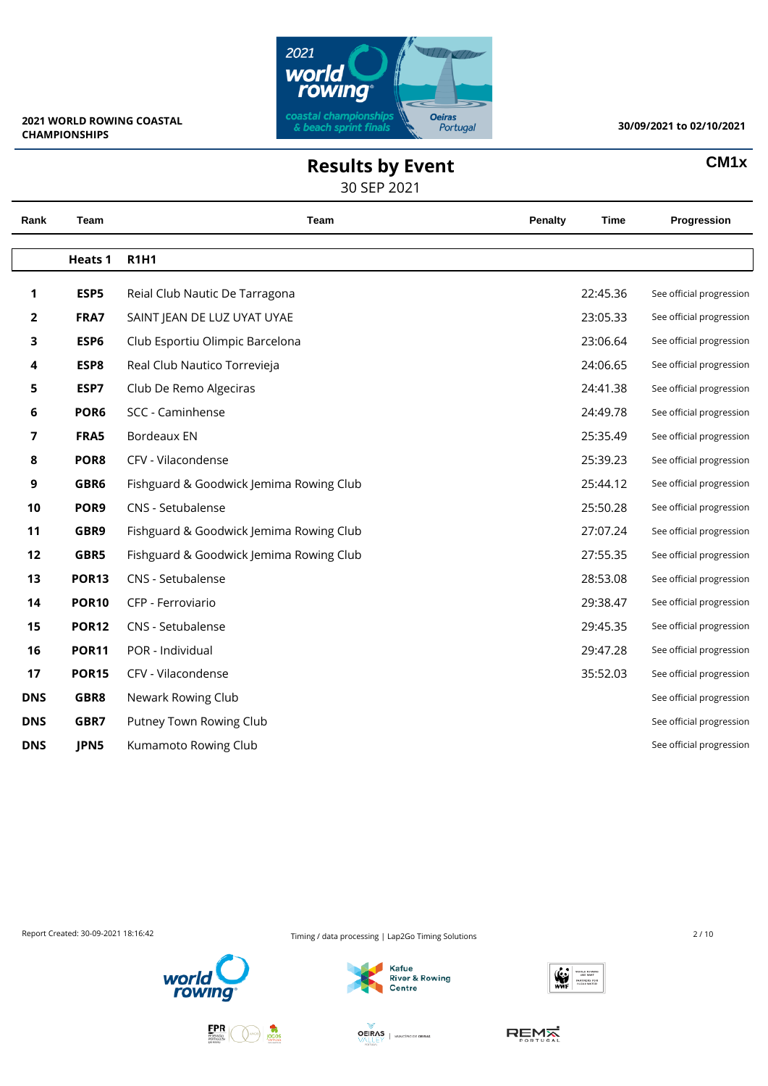

 $\overline{\phantom{0}}$ 

 $\overline{\phantom{0}}$ 

#### **30/09/2021 to 02/10/2021**

**CM1x**

### **Results by Event**

30 SEP 2021

| Rank       | Team             | Team                                    | Penalty | Time     | Progression              |
|------------|------------------|-----------------------------------------|---------|----------|--------------------------|
|            |                  |                                         |         |          |                          |
|            | <b>Heats 1</b>   | <b>R1H1</b>                             |         |          |                          |
| 1          | ESP5             | Reial Club Nautic De Tarragona          |         | 22:45.36 | See official progression |
| 2          | FRA7             | SAINT JEAN DE LUZ UYAT UYAE             |         | 23:05.33 | See official progression |
| 3          | ESP6             | Club Esportiu Olimpic Barcelona         |         | 23:06.64 | See official progression |
| 4          | ESP8             | Real Club Nautico Torrevieja            |         | 24:06.65 | See official progression |
| 5          | ESP7             | Club De Remo Algeciras                  |         | 24:41.38 | See official progression |
| 6          | POR <sub>6</sub> | SCC - Caminhense                        |         | 24:49.78 | See official progression |
| 7          | FRA5             | <b>Bordeaux EN</b>                      |         | 25:35.49 | See official progression |
| 8          | POR8             | CFV - Vilacondense                      |         | 25:39.23 | See official progression |
| 9          | GBR6             | Fishguard & Goodwick Jemima Rowing Club |         | 25:44.12 | See official progression |
| 10         | POR <sub>9</sub> | CNS - Setubalense                       |         | 25:50.28 | See official progression |
| 11         | GBR9             | Fishguard & Goodwick Jemima Rowing Club |         | 27:07.24 | See official progression |
| 12         | GBR5             | Fishguard & Goodwick Jemima Rowing Club |         | 27:55.35 | See official progression |
| 13         | <b>POR13</b>     | CNS - Setubalense                       |         | 28:53.08 | See official progression |
| 14         | <b>POR10</b>     | CFP - Ferroviario                       |         | 29:38.47 | See official progression |
| 15         | <b>POR12</b>     | CNS - Setubalense                       |         | 29:45.35 | See official progression |
| 16         | <b>POR11</b>     | POR - Individual                        |         | 29:47.28 | See official progression |
| 17         | <b>POR15</b>     | CFV - Vilacondense                      |         | 35:52.03 | See official progression |
| <b>DNS</b> | GBR8             | Newark Rowing Club                      |         |          | See official progression |
| <b>DNS</b> | GBR7             | Putney Town Rowing Club                 |         |          | See official progression |
| <b>DNS</b> | JPN5             | Kumamoto Rowing Club                    |         |          | See official progression |
|            |                  |                                         |         |          |                          |

Report Created: 30-09-2021 18:16:42 Timing / data processing | Lap2Go Timing Solutions 2/10









**OEIRAS** | MUNICÍPIO DE OEIRAS

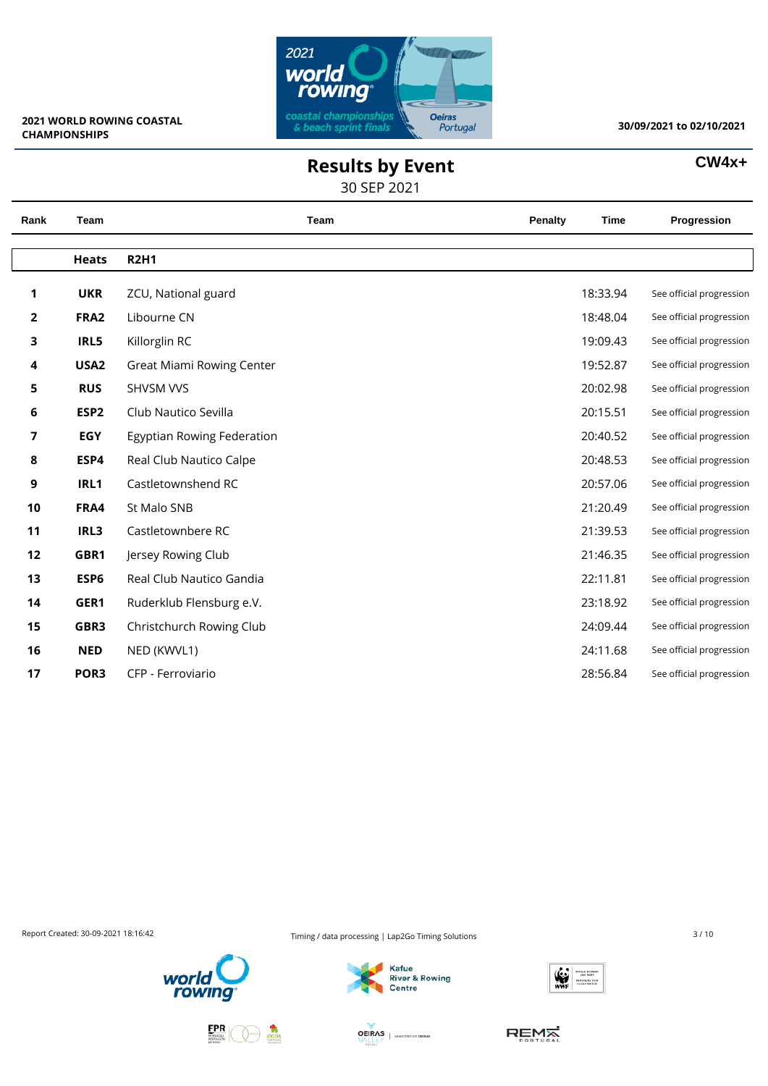

### **Results by Event**

#### 30 SEP 2021

#### **CW4x+**

| Rank           | Team             | Team                       | Penalty | <b>Time</b> | Progression              |
|----------------|------------------|----------------------------|---------|-------------|--------------------------|
|                | <b>Heats</b>     | <b>R2H1</b>                |         |             |                          |
|                |                  |                            |         |             |                          |
| 1              | <b>UKR</b>       | ZCU, National guard        |         | 18:33.94    | See official progression |
| $\overline{2}$ | FRA <sub>2</sub> | Libourne CN                |         | 18:48.04    | See official progression |
| 3              | IRL5             | Killorglin RC              |         | 19:09.43    | See official progression |
| 4              | USA <sub>2</sub> | Great Miami Rowing Center  |         | 19:52.87    | See official progression |
| 5              | <b>RUS</b>       | SHVSM VVS                  |         | 20:02.98    | See official progression |
| 6              | ESP <sub>2</sub> | Club Nautico Sevilla       |         | 20:15.51    | See official progression |
| 7              | <b>EGY</b>       | Egyptian Rowing Federation |         | 20:40.52    | See official progression |
| 8              | ESP4             | Real Club Nautico Calpe    |         | 20:48.53    | See official progression |
| 9              | IRL1             | Castletownshend RC         |         | 20:57.06    | See official progression |
| 10             | FRA4             | St Malo SNB                |         | 21:20.49    | See official progression |
| 11             | IRL3             | Castletownbere RC          |         | 21:39.53    | See official progression |
| 12             | GBR1             | Jersey Rowing Club         |         | 21:46.35    | See official progression |
| 13             | ESP6             | Real Club Nautico Gandia   |         | 22:11.81    | See official progression |
| 14             | GER1             | Ruderklub Flensburg e.V.   |         | 23:18.92    | See official progression |
| 15             | GBR3             | Christchurch Rowing Club   |         | 24:09.44    | See official progression |
| 16             | <b>NED</b>       | NED (KWVL1)                |         | 24:11.68    | See official progression |
| 17             | POR <sub>3</sub> | CFP - Ferroviario          |         | 28:56.84    | See official progression |
|                |                  |                            |         |             |                          |

Report Created: 30-09-2021 18:16:42 Timing / data processing | Lap2Go Timing Solutions 3/10







**OEIRAS** | MUNICÍPIO DE OEIRAS

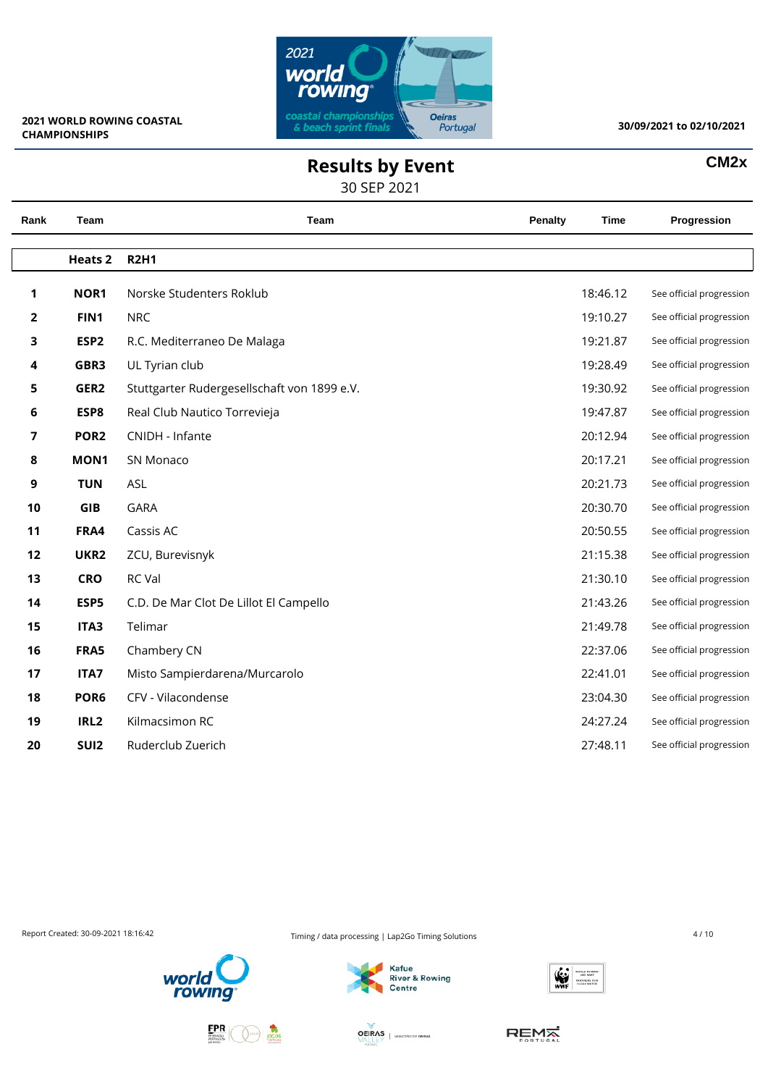

**CM2x**

## **Results by Event**

30 SEP 2021

| Rank | Team             | Team                                        | Penalty | <b>Time</b> | Progression              |
|------|------------------|---------------------------------------------|---------|-------------|--------------------------|
|      | <b>Heats 2</b>   | <b>R2H1</b>                                 |         |             |                          |
| 1    | NOR1             | Norske Studenters Roklub                    |         | 18:46.12    | See official progression |
| 2    | FIN1             | <b>NRC</b>                                  |         | 19:10.27    | See official progression |
| 3    | ESP <sub>2</sub> | R.C. Mediterraneo De Malaga                 |         | 19:21.87    | See official progression |
| 4    | GBR3             | UL Tyrian club                              |         | 19:28.49    | See official progression |
| 5    | GER2             | Stuttgarter Rudergesellschaft von 1899 e.V. |         | 19:30.92    | See official progression |
| 6    | ESP8             | Real Club Nautico Torrevieja                |         | 19:47.87    | See official progression |
| 7    | POR <sub>2</sub> | CNIDH - Infante                             |         | 20:12.94    | See official progression |
| 8    | MON1             | SN Monaco                                   |         | 20:17.21    | See official progression |
| 9    | <b>TUN</b>       | ASL                                         |         | 20:21.73    | See official progression |
| 10   | GIB              | <b>GARA</b>                                 |         | 20:30.70    | See official progression |
| 11   | FRA4             | Cassis AC                                   |         | 20:50.55    | See official progression |
| 12   | UKR2             | ZCU, Burevisnyk                             |         | 21:15.38    | See official progression |
| 13   | <b>CRO</b>       | RC Val                                      |         | 21:30.10    | See official progression |
| 14   | ESP5             | C.D. De Mar Clot De Lillot El Campello      |         | 21:43.26    | See official progression |
| 15   | ITA3             | Telimar                                     |         | 21:49.78    | See official progression |
| 16   | FRA5             | Chambery CN                                 |         | 22:37.06    | See official progression |
| 17   | ITA7             | Misto Sampierdarena/Murcarolo               |         | 22:41.01    | See official progression |
| 18   | POR <sub>6</sub> | CFV - Vilacondense                          |         | 23:04.30    | See official progression |
| 19   | IRL <sub>2</sub> | Kilmacsimon RC                              |         | 24:27.24    | See official progression |
| 20   | SUI <sub>2</sub> | Ruderclub Zuerich                           |         | 27:48.11    | See official progression |
|      |                  |                                             |         |             |                          |

Report Created: 30-09-2021 18:16:42 **Timing / data processing | Lap2Go Timing Solutions** 4 / 10







**OEIRAS** | MANCIPIODE OEIRAS

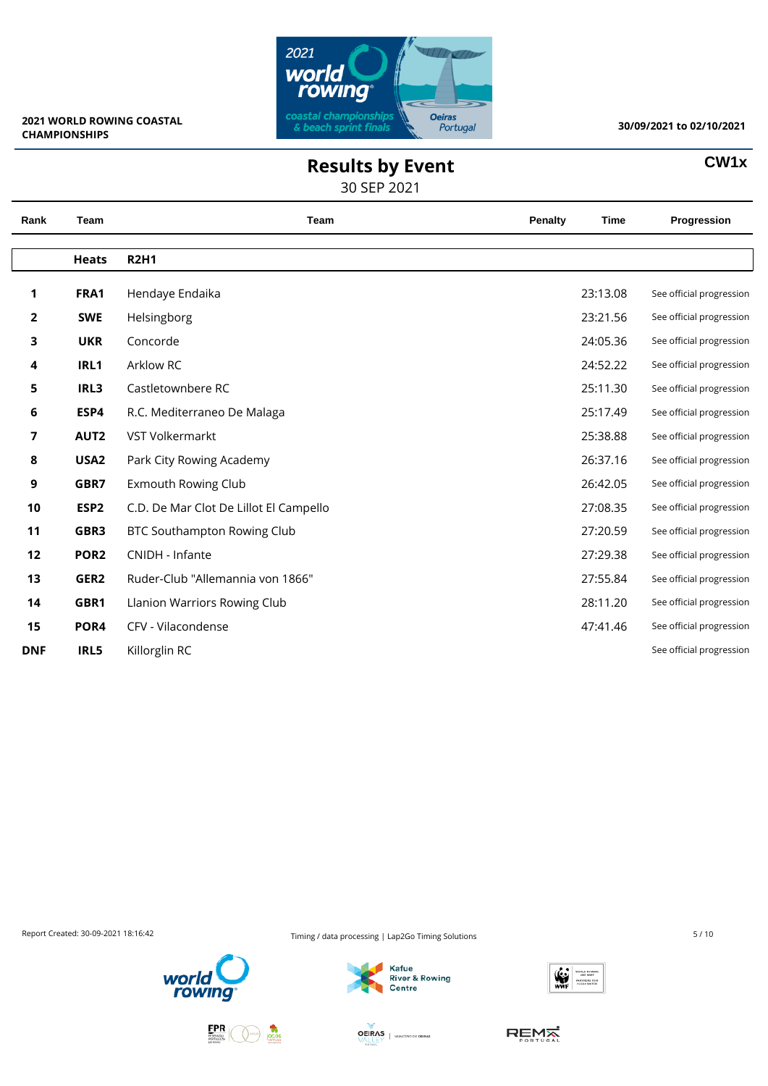

**CW1x**

# **Results by Event**

30 SEP 2021

| Rank           | Team             | Team                                   | Penalty | <b>Time</b> | Progression              |
|----------------|------------------|----------------------------------------|---------|-------------|--------------------------|
|                | <b>Heats</b>     | <b>R2H1</b>                            |         |             |                          |
| 1              | FRA1             | Hendaye Endaika                        |         | 23:13.08    | See official progression |
| $\overline{2}$ | <b>SWE</b>       | Helsingborg                            |         | 23:21.56    | See official progression |
| 3              | <b>UKR</b>       | Concorde                               |         | 24:05.36    | See official progression |
| 4              | IRL1             | Arklow RC                              |         | 24:52.22    | See official progression |
| 5              | IRL3             | Castletownbere RC                      |         | 25:11.30    | See official progression |
| 6              | ESP4             | R.C. Mediterraneo De Malaga            |         | 25:17.49    | See official progression |
| $\overline{7}$ | AUT2             | VST Volkermarkt                        |         | 25:38.88    | See official progression |
| 8              | USA <sub>2</sub> | Park City Rowing Academy               |         | 26:37.16    | See official progression |
| 9              | GBR7             | <b>Exmouth Rowing Club</b>             |         | 26:42.05    | See official progression |
| 10             | ESP <sub>2</sub> | C.D. De Mar Clot De Lillot El Campello |         | 27:08.35    | See official progression |
| 11             | GBR3             | BTC Southampton Rowing Club            |         | 27:20.59    | See official progression |
| 12             | POR <sub>2</sub> | CNIDH - Infante                        |         | 27:29.38    | See official progression |
| 13             | GER2             | Ruder-Club "Allemannia von 1866"       |         | 27:55.84    | See official progression |
| 14             | GBR1             | Llanion Warriors Rowing Club           |         | 28:11.20    | See official progression |
| 15             | POR4             | CFV - Vilacondense                     |         | 47:41.46    | See official progression |
| <b>DNF</b>     | IRL5             | Killorglin RC                          |         |             | See official progression |

Report Created: 30-09-2021 18:16:42 Timing / data processing | Lap2Go Timing Solutions 5/10







**OEIRAS** | MUNICÍPIO DE OEIRAS

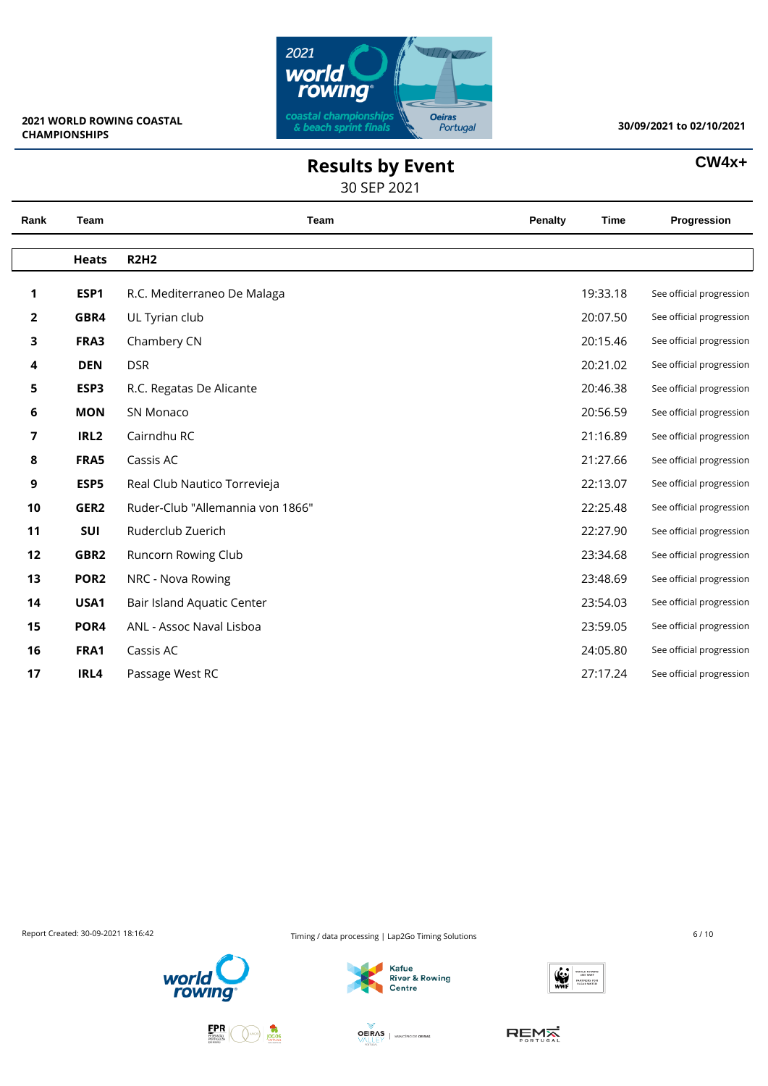

### **Results by Event**

30 SEP 2021

| W4x |  |
|-----|--|
|-----|--|

| Rank         | Team             | Team                             | <b>Penalty</b> | <b>Time</b> | Progression              |
|--------------|------------------|----------------------------------|----------------|-------------|--------------------------|
|              | <b>Heats</b>     | <b>R2H2</b>                      |                |             |                          |
| 1            | ESP1             | R.C. Mediterraneo De Malaga      |                | 19:33.18    | See official progression |
| $\mathbf{2}$ | GBR4             | UL Tyrian club                   |                | 20:07.50    | See official progression |
| 3            | FRA3             | Chambery CN                      |                | 20:15.46    | See official progression |
| 4            | <b>DEN</b>       | <b>DSR</b>                       |                | 20:21.02    | See official progression |
| 5            | ESP3             | R.C. Regatas De Alicante         |                | 20:46.38    | See official progression |
| 6            | <b>MON</b>       | SN Monaco                        |                | 20:56.59    | See official progression |
| 7            | IRL <sub>2</sub> | Cairndhu RC                      |                | 21:16.89    | See official progression |
| 8            | FRA5             | Cassis AC                        |                | 21:27.66    | See official progression |
| 9            | ESP5             | Real Club Nautico Torrevieja     |                | 22:13.07    | See official progression |
| 10           | GER2             | Ruder-Club "Allemannia von 1866" |                | 22:25.48    | See official progression |
| 11           | SUI              | Ruderclub Zuerich                |                | 22:27.90    | See official progression |
| 12           | GBR2             | Runcorn Rowing Club              |                | 23:34.68    | See official progression |
| 13           | POR <sub>2</sub> | NRC - Nova Rowing                |                | 23:48.69    | See official progression |
| 14           | USA1             | Bair Island Aquatic Center       |                | 23:54.03    | See official progression |
| 15           | POR4             | ANL - Assoc Naval Lisboa         |                | 23:59.05    | See official progression |
| 16           | FRA1             | Cassis AC                        |                | 24:05.80    | See official progression |
| 17           | IRL4             | Passage West RC                  |                | 27:17.24    | See official progression |
|              |                  |                                  |                |             |                          |

Report Created: 30-09-2021 18:16:42 **Timing / data processing | Lap2Go Timing Solutions** 6 / 10









**OEIRAS** | MUNICÍPIO DE OEIRAS

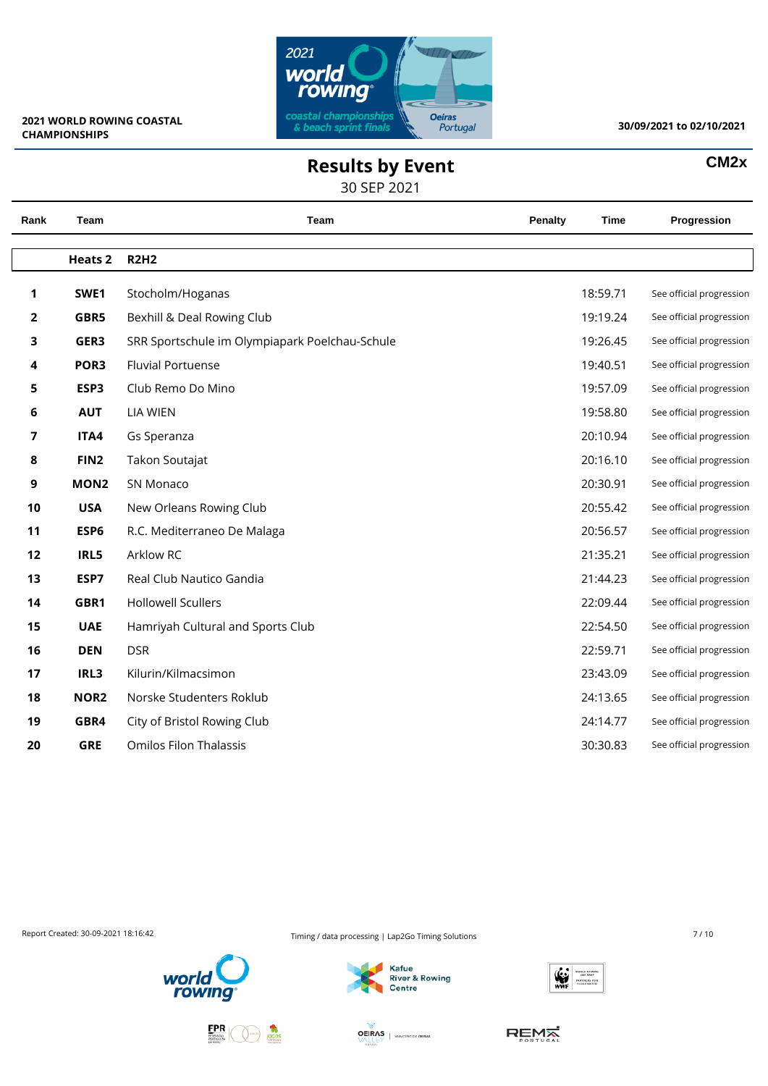

 $\overline{\phantom{0}}$ 

 $\overline{\phantom{a}}$ 

#### **30/09/2021 to 02/10/2021**

**CM2x**

## **Results by Event**

30 SEP 2021

| Rank | <b>Team</b>      | Team                                           | <b>Penalty</b> | <b>Time</b> | Progression              |
|------|------------------|------------------------------------------------|----------------|-------------|--------------------------|
|      | <b>Heats 2</b>   | <b>R2H2</b>                                    |                |             |                          |
| 1    | SWE1             | Stocholm/Hoganas                               |                | 18:59.71    | See official progression |
| 2    | GBR5             | Bexhill & Deal Rowing Club                     |                | 19:19.24    | See official progression |
| 3    | GER3             | SRR Sportschule im Olympiapark Poelchau-Schule |                | 19:26.45    | See official progression |
| 4    | POR <sub>3</sub> | <b>Fluvial Portuense</b>                       |                | 19:40.51    | See official progression |
| 5    | ESP3             | Club Remo Do Mino                              |                | 19:57.09    | See official progression |
| 6    | <b>AUT</b>       | <b>LIA WIEN</b>                                |                | 19:58.80    | See official progression |
| 7    | ITA4             | Gs Speranza                                    |                | 20:10.94    | See official progression |
| 8    | FIN <sub>2</sub> | Takon Soutajat                                 |                | 20:16.10    | See official progression |
| 9    | MON <sub>2</sub> | SN Monaco                                      |                | 20:30.91    | See official progression |
| 10   | <b>USA</b>       | New Orleans Rowing Club                        |                | 20:55.42    | See official progression |
| 11   | ESP6             | R.C. Mediterraneo De Malaga                    |                | 20:56.57    | See official progression |
| 12   | IRL5             | Arklow RC                                      |                | 21:35.21    | See official progression |
| 13   | ESP7             | Real Club Nautico Gandia                       |                | 21:44.23    | See official progression |
| 14   | GBR1             | <b>Hollowell Scullers</b>                      |                | 22:09.44    | See official progression |
| 15   | <b>UAE</b>       | Hamriyah Cultural and Sports Club              |                | 22:54.50    | See official progression |
| 16   | <b>DEN</b>       | <b>DSR</b>                                     |                | 22:59.71    | See official progression |
| 17   | IRL3             | Kilurin/Kilmacsimon                            |                | 23:43.09    | See official progression |
| 18   | NOR <sub>2</sub> | Norske Studenters Roklub                       |                | 24:13.65    | See official progression |
| 19   | GBR4             | City of Bristol Rowing Club                    |                | 24:14.77    | See official progression |
| 20   | <b>GRE</b>       | <b>Omilos Filon Thalassis</b>                  |                | 30:30.83    | See official progression |
|      |                  |                                                |                |             |                          |

Report Created: 30-09-2021 18:16:42 Timing / data processing | Lap2Go Timing Solutions 7/10







**OEIRAS** | MANCIPIODE OEIRAS

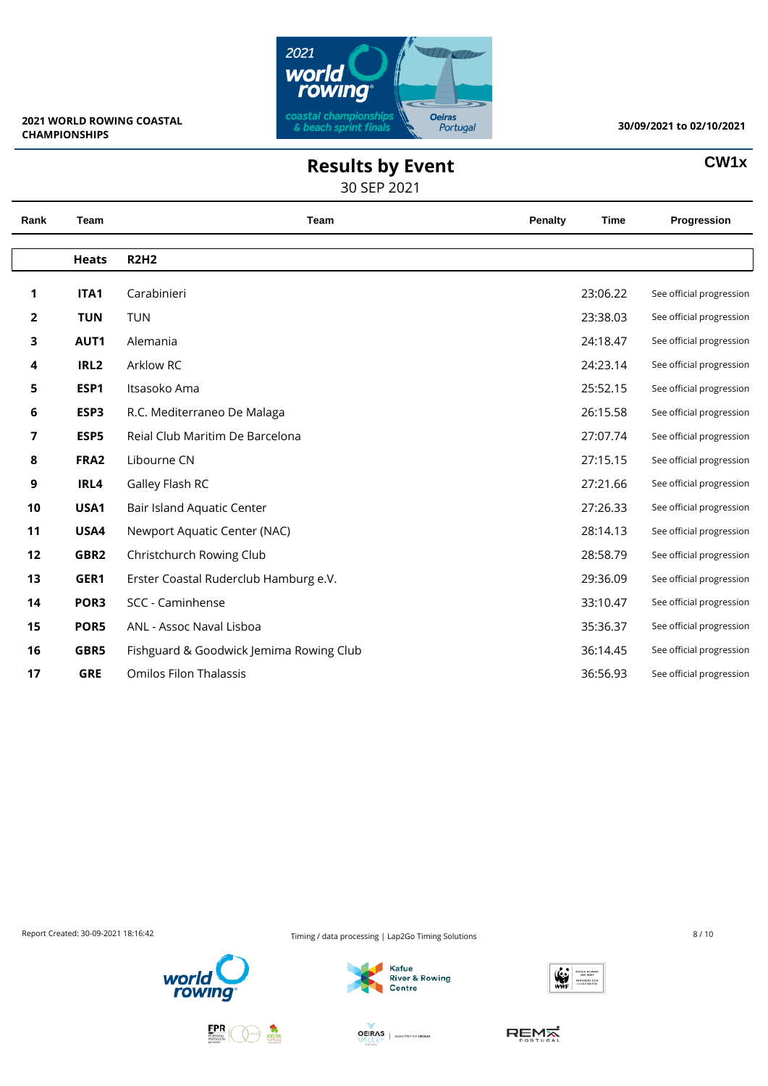

**CW1x**

# **Results by Event**

30 SEP 2021

| Rank           | Team             | Team                                    | Penalty | <b>Time</b> | Progression              |
|----------------|------------------|-----------------------------------------|---------|-------------|--------------------------|
|                | <b>Heats</b>     | <b>R2H2</b>                             |         |             |                          |
| 1              | ITA1             | Carabinieri                             |         | 23:06.22    | See official progression |
| $\overline{2}$ | <b>TUN</b>       | <b>TUN</b>                              |         | 23:38.03    | See official progression |
| 3              | AUT1             | Alemania                                |         | 24:18.47    | See official progression |
| 4              | IRL <sub>2</sub> | Arklow RC                               |         | 24:23.14    | See official progression |
| 5              | ESP1             | Itsasoko Ama                            |         | 25:52.15    | See official progression |
| 6              | ESP3             | R.C. Mediterraneo De Malaga             |         | 26:15.58    | See official progression |
| 7              | ESP5             | Reial Club Maritim De Barcelona         |         | 27:07.74    | See official progression |
| 8              | FRA <sub>2</sub> | Libourne CN                             |         | 27:15.15    | See official progression |
| 9              | IRL4             | Galley Flash RC                         |         | 27:21.66    | See official progression |
| 10             | USA1             | Bair Island Aquatic Center              |         | 27:26.33    | See official progression |
| 11             | USA4             | Newport Aquatic Center (NAC)            |         | 28:14.13    | See official progression |
| 12             | GBR2             | Christchurch Rowing Club                |         | 28:58.79    | See official progression |
| 13             | GER1             | Erster Coastal Ruderclub Hamburg e.V.   |         | 29:36.09    | See official progression |
| 14             | POR <sub>3</sub> | SCC - Caminhense                        |         | 33:10.47    | See official progression |
| 15             | POR5             | ANL - Assoc Naval Lisboa                |         | 35:36.37    | See official progression |
| 16             | GBR5             | Fishguard & Goodwick Jemima Rowing Club |         | 36:14.45    | See official progression |
| 17             | <b>GRE</b>       | <b>Omilos Filon Thalassis</b>           |         | 36:56.93    | See official progression |

Report Created: 30-09-2021 18:16:42 Timing / data processing | Lap2Go Timing Solutions 8/10







**OEIRAS** | MUNICÍPIO DE OEIRAS

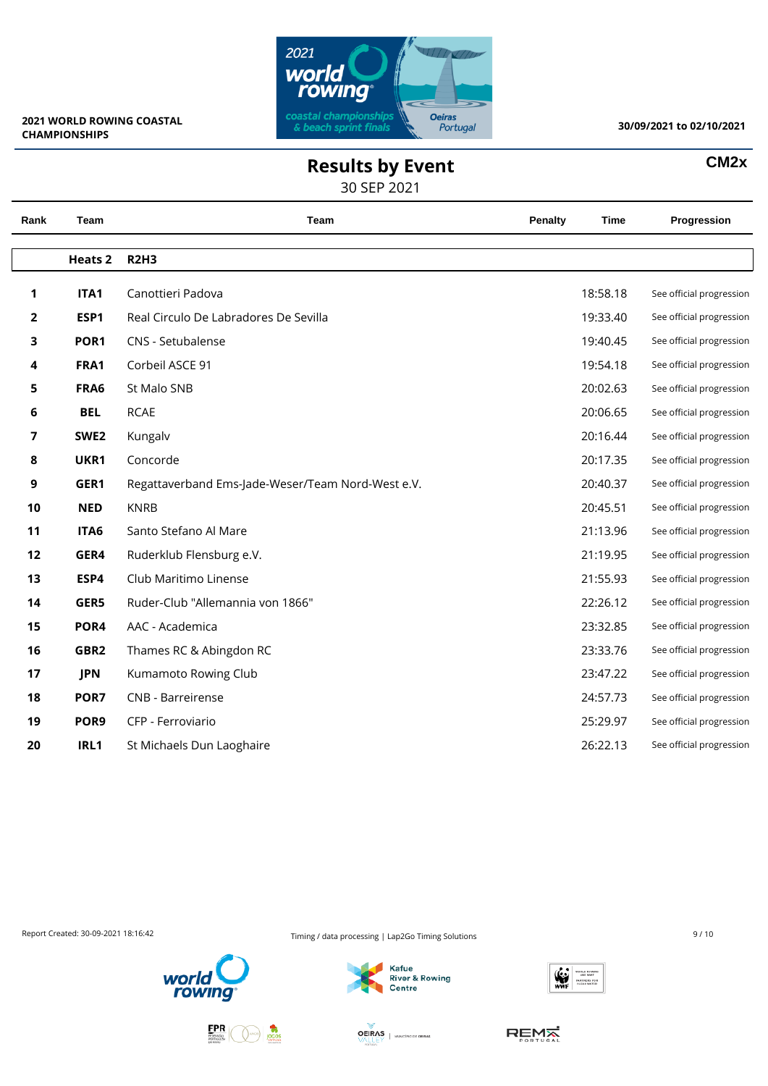

**CM2x**

# **Results by Event**

30 SEP 2021

| Rank | Team             | Team                                              | <b>Penalty</b> | Time     | Progression              |
|------|------------------|---------------------------------------------------|----------------|----------|--------------------------|
|      | <b>Heats 2</b>   | <b>R2H3</b>                                       |                |          |                          |
| 1    | ITA1             | Canottieri Padova                                 |                | 18:58.18 | See official progression |
| 2    | ESP1             | Real Circulo De Labradores De Sevilla             |                | 19:33.40 | See official progression |
| 3    | POR <sub>1</sub> | CNS - Setubalense                                 |                | 19:40.45 | See official progression |
| 4    | FRA1             | Corbeil ASCE 91                                   |                | 19:54.18 | See official progression |
| 5    | FRA6             | St Malo SNB                                       |                | 20:02.63 | See official progression |
| 6    | <b>BEL</b>       | <b>RCAE</b>                                       |                | 20:06.65 | See official progression |
| 7    | SWE <sub>2</sub> | Kungalv                                           |                | 20:16.44 | See official progression |
| 8    | UKR1             | Concorde                                          |                | 20:17.35 | See official progression |
| 9    | GER1             | Regattaverband Ems-Jade-Weser/Team Nord-West e.V. |                | 20:40.37 | See official progression |
| 10   | <b>NED</b>       | <b>KNRB</b>                                       |                | 20:45.51 | See official progression |
| 11   | ITA6             | Santo Stefano Al Mare                             |                | 21:13.96 | See official progression |
| 12   | GER4             | Ruderklub Flensburg e.V.                          |                | 21:19.95 | See official progression |
| 13   | ESP4             | Club Maritimo Linense                             |                | 21:55.93 | See official progression |
| 14   | GER5             | Ruder-Club "Allemannia von 1866"                  |                | 22:26.12 | See official progression |
| 15   | POR4             | AAC - Academica                                   |                | 23:32.85 | See official progression |
| 16   | GBR2             | Thames RC & Abingdon RC                           |                | 23:33.76 | See official progression |
| 17   | <b>JPN</b>       | Kumamoto Rowing Club                              |                | 23:47.22 | See official progression |
| 18   | POR7             | CNB - Barreirense                                 |                | 24:57.73 | See official progression |
| 19   | POR9             | CFP - Ferroviario                                 |                | 25:29.97 | See official progression |
| 20   | IRL1             | St Michaels Dun Laoghaire                         |                | 26:22.13 | See official progression |

Report Created: 30-09-2021 18:16:42 Timing / data processing | Lap2Go Timing Solutions 9/10







**OEIRAS** | MUNICÍPIO DE OEIRAS